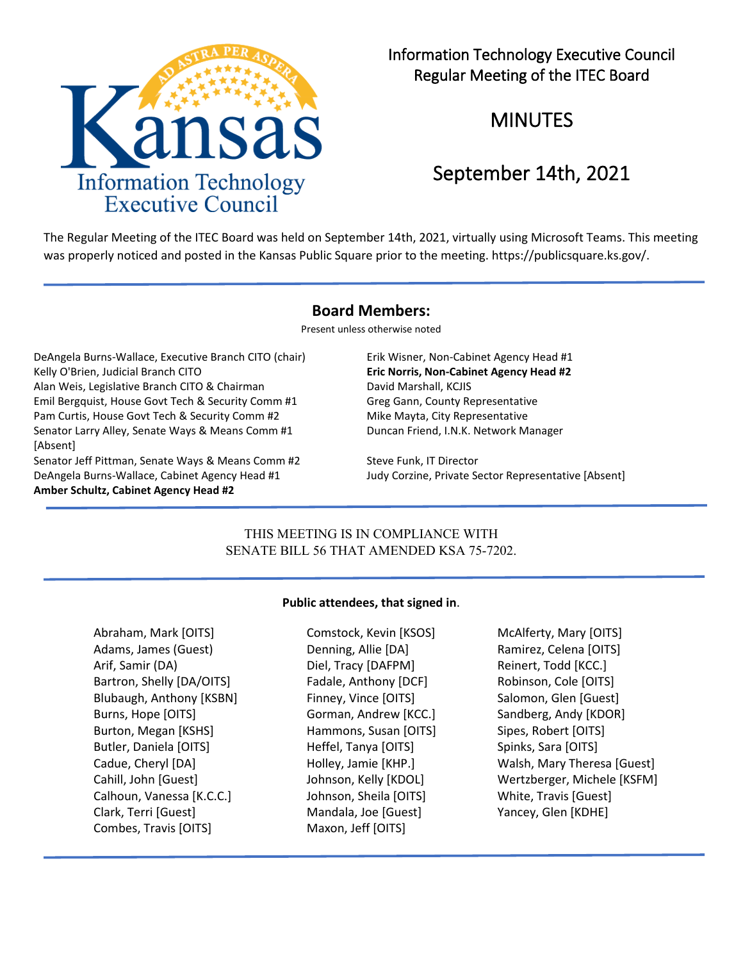

Information Technology Executive Council Regular Meeting of the ITEC Board

# MINUTES

# September 14th, 2021

The Regular Meeting of the ITEC Board was held on September 14th, 2021, virtually using Microsoft Teams. This meeting was properly noticed and posted in the Kansas Public Square prior to the meeting. https://publicsquare.ks.gov/.

### **Board Members:**

Present unless otherwise noted

DeAngela Burns-Wallace, Executive Branch CITO (chair) Erik Wisner, Non-Cabinet Agency Head #1 Kelly O'Brien, Judicial Branch CITO **Eric Norris, Non-Cabinet Agency Head #2** Alan Weis, Legislative Branch CITO & Chairman David Marshall, KCJIS Emil Bergquist, House Govt Tech & Security Comm #1 Greg Gann, County Representative Pam Curtis, House Govt Tech & Security Comm #2 Mike Mayta, City Representative Senator Larry Alley, Senate Ways & Means Comm #1 [Absent] Senator Jeff Pittman, Senate Ways & Means Comm #2 Steve Funk, IT Director

DeAngela Burns-Wallace, Cabinet Agency Head #1 Judy Corzine, Private Sector Representative [Absent] **Amber Schultz, Cabinet Agency Head #2**

Duncan Friend, I.N.K. Network Manager

## THIS MEETING IS IN COMPLIANCE WITH SENATE BILL 56 THAT AMENDED KSA 75-7202.

### **Public attendees, that signed in**.

Abraham, Mark [OITS] Comstock, Kevin [KSOS] McAlferty, Mary [OITS] Adams, James (Guest) **Denning, Allie [DA]** Ramirez, Celena [OITS] Arif, Samir (DA) **Diel, Tracy [DAFPM]** Reinert, Todd [KCC.] Bartron, Shelly [DA/OITS] Fadale, Anthony [DCF] Robinson, Cole [OITS] Blubaugh, Anthony [KSBN] Finney, Vince [OITS] Salomon, Glen [Guest] Burns, Hope [OITS] Gorman, Andrew [KCC.] Sandberg, Andy [KDOR] Burton, Megan [KSHS] Hammons, Susan [OITS] Sipes, Robert [OITS] Butler, Daniela [OITS] The Heffel, Tanya [OITS] The Spinks, Sara [OITS] Calhoun, Vanessa [K.C.C.] Johnson, Sheila [OITS] White, Travis [Guest] Clark, Terri [Guest] Mandala, Joe [Guest] Yancey, Glen [KDHE] Combes, Travis [OITS] Maxon, Jeff [OITS]

Cadue, Cheryl [DA] Holley, Jamie [KHP.] Walsh, Mary Theresa [Guest] Cahill, John [Guest] Johnson, Kelly [KDOL] Wertzberger, Michele [KSFM]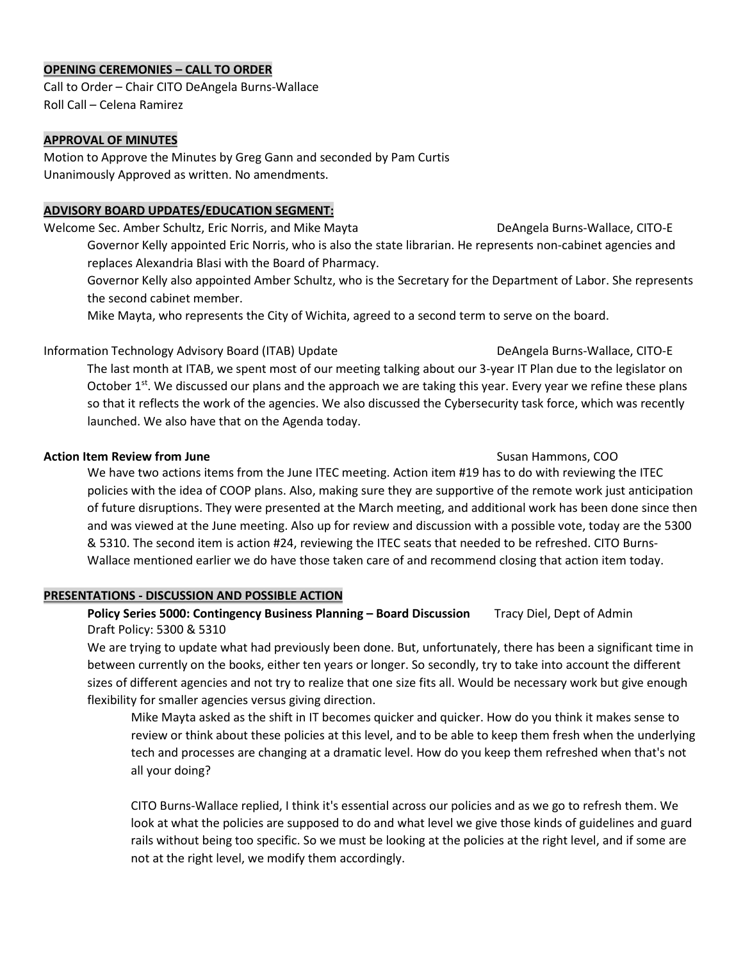#### **OPENING CEREMONIES – CALL TO ORDER**

Call to Order – Chair CITO DeAngela Burns-Wallace Roll Call – Celena Ramirez

#### **APPROVAL OF MINUTES**

Motion to Approve the Minutes by Greg Gann and seconded by Pam Curtis Unanimously Approved as written. No amendments.

### **ADVISORY BOARD UPDATES/EDUCATION SEGMENT:**

Welcome Sec. Amber Schultz, Eric Norris, and Mike Mayta **Deangela Burns-Wallace, CITO-E** Governor Kelly appointed Eric Norris, who is also the state librarian. He represents non-cabinet agencies and replaces Alexandria Blasi with the Board of Pharmacy.

Governor Kelly also appointed Amber Schultz, who is the Secretary for the Department of Labor. She represents the second cabinet member.

Mike Mayta, who represents the City of Wichita, agreed to a second term to serve on the board.

### Information Technology Advisory Board (ITAB) Update DeAngela Burns-Wallace, CITO-E

The last month at ITAB, we spent most of our meeting talking about our 3-year IT Plan due to the legislator on October 1<sup>st</sup>. We discussed our plans and the approach we are taking this year. Every year we refine these plans so that it reflects the work of the agencies. We also discussed the Cybersecurity task force, which was recently launched. We also have that on the Agenda today.

#### **Action Item Review from June** Susan Hammons, COO

We have two actions items from the June ITEC meeting. Action item #19 has to do with reviewing the ITEC policies with the idea of COOP plans. Also, making sure they are supportive of the remote work just anticipation of future disruptions. They were presented at the March meeting, and additional work has been done since then and was viewed at the June meeting. Also up for review and discussion with a possible vote, today are the 5300 & 5310. The second item is action #24, reviewing the ITEC seats that needed to be refreshed. CITO Burns-Wallace mentioned earlier we do have those taken care of and recommend closing that action item today.

### **PRESENTATIONS - DISCUSSION AND POSSIBLE ACTION**

## **Policy Series 5000: Contingency Business Planning – Board Discussion** Tracy Diel, Dept of Admin Draft Policy: 5300 & 5310

We are trying to update what had previously been done. But, unfortunately, there has been a significant time in between currently on the books, either ten years or longer. So secondly, try to take into account the different sizes of different agencies and not try to realize that one size fits all. Would be necessary work but give enough flexibility for smaller agencies versus giving direction.

Mike Mayta asked as the shift in IT becomes quicker and quicker. How do you think it makes sense to review or think about these policies at this level, and to be able to keep them fresh when the underlying tech and processes are changing at a dramatic level. How do you keep them refreshed when that's not all your doing?

CITO Burns-Wallace replied, I think it's essential across our policies and as we go to refresh them. We look at what the policies are supposed to do and what level we give those kinds of guidelines and guard rails without being too specific. So we must be looking at the policies at the right level, and if some are not at the right level, we modify them accordingly.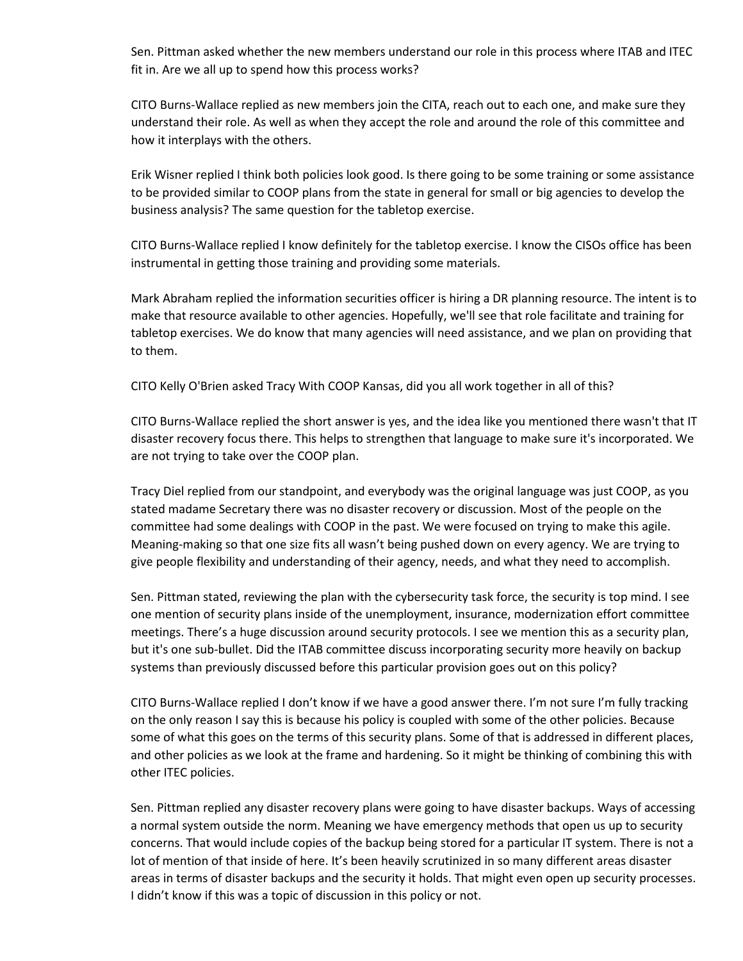Sen. Pittman asked whether the new members understand our role in this process where ITAB and ITEC fit in. Are we all up to spend how this process works?

CITO Burns-Wallace replied as new members join the CITA, reach out to each one, and make sure they understand their role. As well as when they accept the role and around the role of this committee and how it interplays with the others.

Erik Wisner replied I think both policies look good. Is there going to be some training or some assistance to be provided similar to COOP plans from the state in general for small or big agencies to develop the business analysis? The same question for the tabletop exercise.

CITO Burns-Wallace replied I know definitely for the tabletop exercise. I know the CISOs office has been instrumental in getting those training and providing some materials.

Mark Abraham replied the information securities officer is hiring a DR planning resource. The intent is to make that resource available to other agencies. Hopefully, we'll see that role facilitate and training for tabletop exercises. We do know that many agencies will need assistance, and we plan on providing that to them.

CITO Kelly O'Brien asked Tracy With COOP Kansas, did you all work together in all of this?

CITO Burns-Wallace replied the short answer is yes, and the idea like you mentioned there wasn't that IT disaster recovery focus there. This helps to strengthen that language to make sure it's incorporated. We are not trying to take over the COOP plan.

Tracy Diel replied from our standpoint, and everybody was the original language was just COOP, as you stated madame Secretary there was no disaster recovery or discussion. Most of the people on the committee had some dealings with COOP in the past. We were focused on trying to make this agile. Meaning-making so that one size fits all wasn't being pushed down on every agency. We are trying to give people flexibility and understanding of their agency, needs, and what they need to accomplish.

Sen. Pittman stated, reviewing the plan with the cybersecurity task force, the security is top mind. I see one mention of security plans inside of the unemployment, insurance, modernization effort committee meetings. There's a huge discussion around security protocols. I see we mention this as a security plan, but it's one sub-bullet. Did the ITAB committee discuss incorporating security more heavily on backup systems than previously discussed before this particular provision goes out on this policy?

CITO Burns-Wallace replied I don't know if we have a good answer there. I'm not sure I'm fully tracking on the only reason I say this is because his policy is coupled with some of the other policies. Because some of what this goes on the terms of this security plans. Some of that is addressed in different places, and other policies as we look at the frame and hardening. So it might be thinking of combining this with other ITEC policies.

Sen. Pittman replied any disaster recovery plans were going to have disaster backups. Ways of accessing a normal system outside the norm. Meaning we have emergency methods that open us up to security concerns. That would include copies of the backup being stored for a particular IT system. There is not a lot of mention of that inside of here. It's been heavily scrutinized in so many different areas disaster areas in terms of disaster backups and the security it holds. That might even open up security processes. I didn't know if this was a topic of discussion in this policy or not.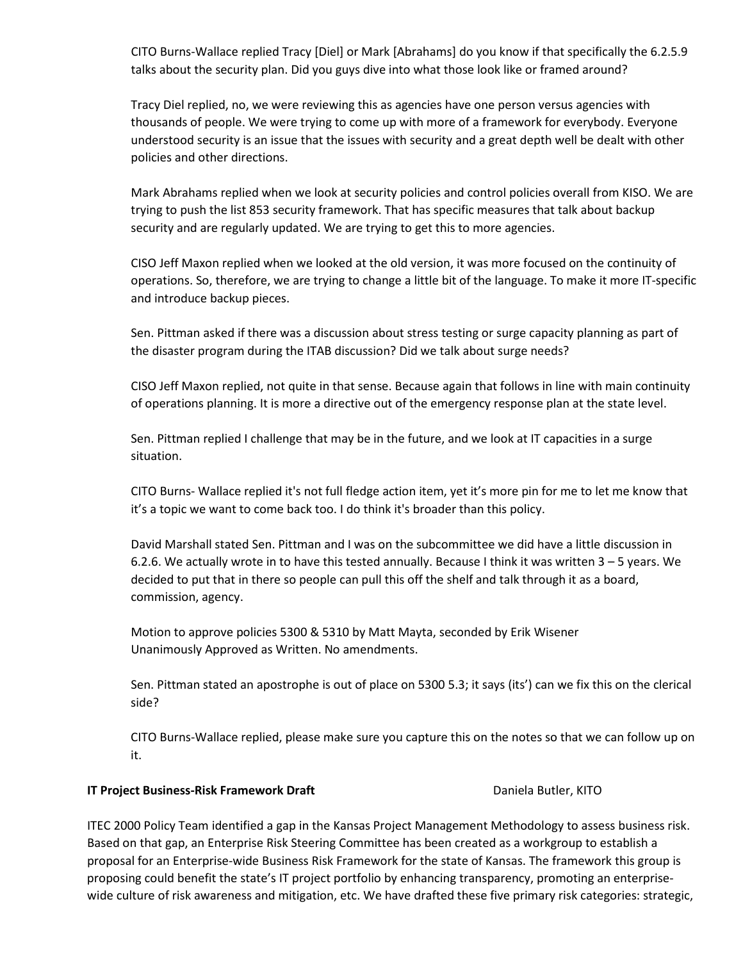CITO Burns-Wallace replied Tracy [Diel] or Mark [Abrahams] do you know if that specifically the 6.2.5.9 talks about the security plan. Did you guys dive into what those look like or framed around?

Tracy Diel replied, no, we were reviewing this as agencies have one person versus agencies with thousands of people. We were trying to come up with more of a framework for everybody. Everyone understood security is an issue that the issues with security and a great depth well be dealt with other policies and other directions.

Mark Abrahams replied when we look at security policies and control policies overall from KISO. We are trying to push the list 853 security framework. That has specific measures that talk about backup security and are regularly updated. We are trying to get this to more agencies.

CISO Jeff Maxon replied when we looked at the old version, it was more focused on the continuity of operations. So, therefore, we are trying to change a little bit of the language. To make it more IT-specific and introduce backup pieces.

Sen. Pittman asked if there was a discussion about stress testing or surge capacity planning as part of the disaster program during the ITAB discussion? Did we talk about surge needs?

CISO Jeff Maxon replied, not quite in that sense. Because again that follows in line with main continuity of operations planning. It is more a directive out of the emergency response plan at the state level.

Sen. Pittman replied I challenge that may be in the future, and we look at IT capacities in a surge situation.

CITO Burns- Wallace replied it's not full fledge action item, yet it's more pin for me to let me know that it's a topic we want to come back too. I do think it's broader than this policy.

David Marshall stated Sen. Pittman and I was on the subcommittee we did have a little discussion in 6.2.6. We actually wrote in to have this tested annually. Because I think it was written 3 – 5 years. We decided to put that in there so people can pull this off the shelf and talk through it as a board, commission, agency.

Motion to approve policies 5300 & 5310 by Matt Mayta, seconded by Erik Wisener Unanimously Approved as Written. No amendments.

Sen. Pittman stated an apostrophe is out of place on 5300 5.3; it says (its') can we fix this on the clerical side?

CITO Burns-Wallace replied, please make sure you capture this on the notes so that we can follow up on it.

### **IT Project Business-Risk Framework Draft <b>Dramatic Communist Constructs** Daniela Butler, KITO

ITEC 2000 Policy Team identified a gap in the Kansas Project Management Methodology to assess business risk. Based on that gap, an Enterprise Risk Steering Committee has been created as a workgroup to establish a proposal for an Enterprise-wide Business Risk Framework for the state of Kansas. The framework this group is proposing could benefit the state's IT project portfolio by enhancing transparency, promoting an enterprisewide culture of risk awareness and mitigation, etc. We have drafted these five primary risk categories: strategic,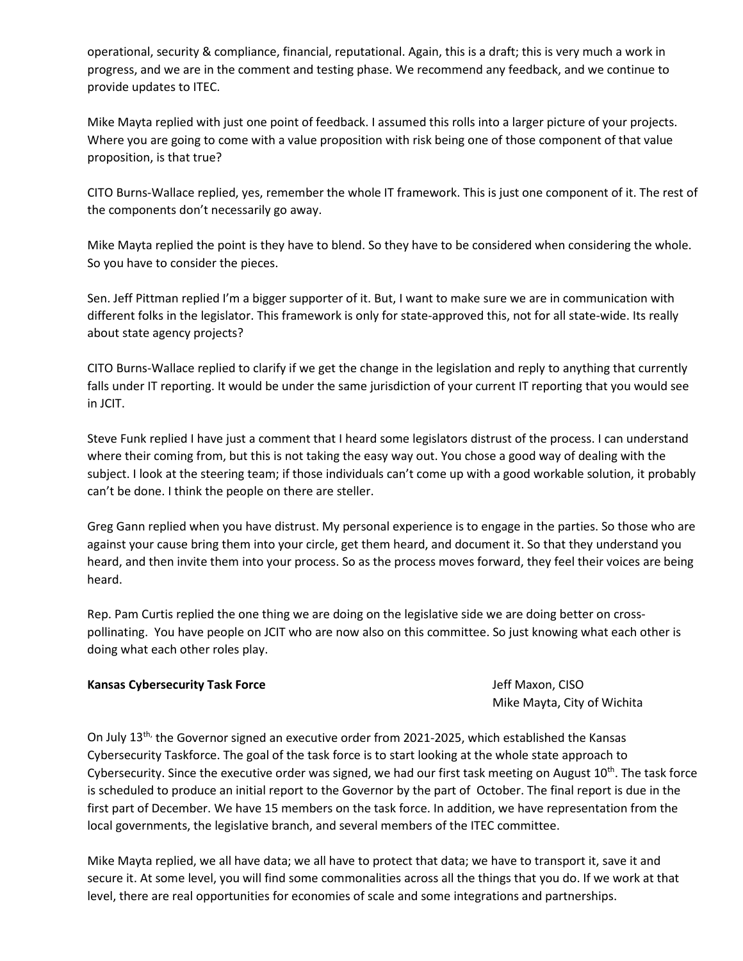operational, security & compliance, financial, reputational. Again, this is a draft; this is very much a work in progress, and we are in the comment and testing phase. We recommend any feedback, and we continue to provide updates to ITEC.

Mike Mayta replied with just one point of feedback. I assumed this rolls into a larger picture of your projects. Where you are going to come with a value proposition with risk being one of those component of that value proposition, is that true?

CITO Burns-Wallace replied, yes, remember the whole IT framework. This is just one component of it. The rest of the components don't necessarily go away.

Mike Mayta replied the point is they have to blend. So they have to be considered when considering the whole. So you have to consider the pieces.

Sen. Jeff Pittman replied I'm a bigger supporter of it. But, I want to make sure we are in communication with different folks in the legislator. This framework is only for state-approved this, not for all state-wide. Its really about state agency projects?

CITO Burns-Wallace replied to clarify if we get the change in the legislation and reply to anything that currently falls under IT reporting. It would be under the same jurisdiction of your current IT reporting that you would see in JCIT.

Steve Funk replied I have just a comment that I heard some legislators distrust of the process. I can understand where their coming from, but this is not taking the easy way out. You chose a good way of dealing with the subject. I look at the steering team; if those individuals can't come up with a good workable solution, it probably can't be done. I think the people on there are steller.

Greg Gann replied when you have distrust. My personal experience is to engage in the parties. So those who are against your cause bring them into your circle, get them heard, and document it. So that they understand you heard, and then invite them into your process. So as the process moves forward, they feel their voices are being heard.

Rep. Pam Curtis replied the one thing we are doing on the legislative side we are doing better on crosspollinating. You have people on JCIT who are now also on this committee. So just knowing what each other is doing what each other roles play.

### **Kansas Cybersecurity Task Force** *Jeff Maxon, CISO* **Jeff Maxon, CISO**

Mike Mayta, City of Wichita

On July  $13<sup>th</sup>$ , the Governor signed an executive order from 2021-2025, which established the Kansas Cybersecurity Taskforce. The goal of the task force is to start looking at the whole state approach to Cybersecurity. Since the executive order was signed, we had our first task meeting on August  $10^{th}$ . The task force is scheduled to produce an initial report to the Governor by the part of October. The final report is due in the first part of December. We have 15 members on the task force. In addition, we have representation from the local governments, the legislative branch, and several members of the ITEC committee.

Mike Mayta replied, we all have data; we all have to protect that data; we have to transport it, save it and secure it. At some level, you will find some commonalities across all the things that you do. If we work at that level, there are real opportunities for economies of scale and some integrations and partnerships.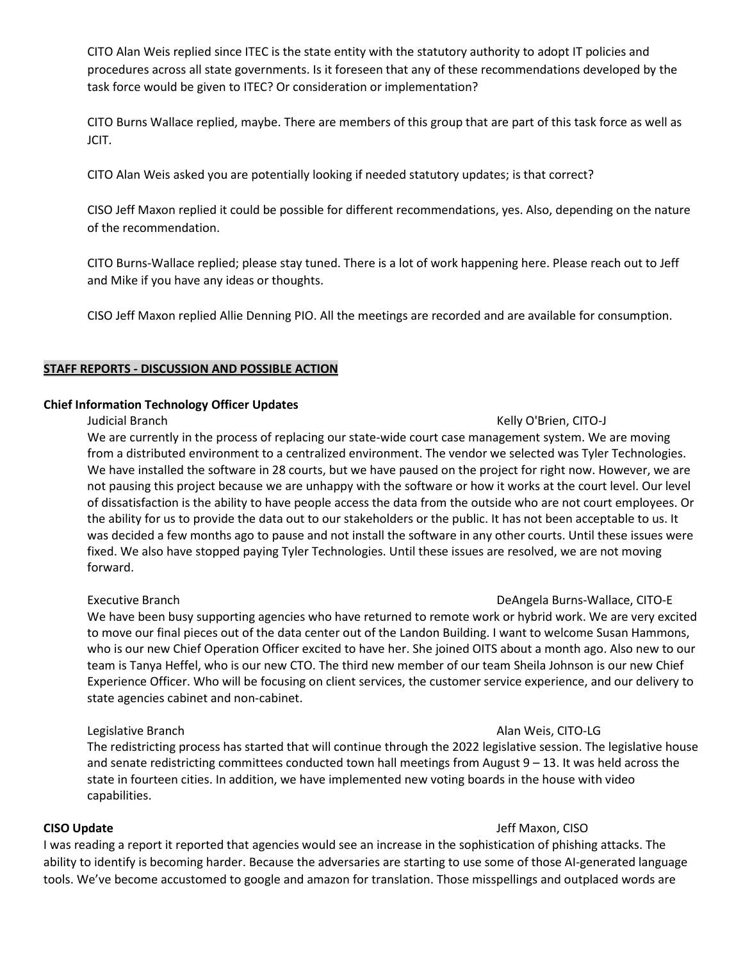CITO Alan Weis replied since ITEC is the state entity with the statutory authority to adopt IT policies and procedures across all state governments. Is it foreseen that any of these recommendations developed by the task force would be given to ITEC? Or consideration or implementation?

CITO Burns Wallace replied, maybe. There are members of this group that are part of this task force as well as JCIT.

CITO Alan Weis asked you are potentially looking if needed statutory updates; is that correct?

CISO Jeff Maxon replied it could be possible for different recommendations, yes. Also, depending on the nature of the recommendation.

CITO Burns-Wallace replied; please stay tuned. There is a lot of work happening here. Please reach out to Jeff and Mike if you have any ideas or thoughts.

CISO Jeff Maxon replied Allie Denning PIO. All the meetings are recorded and are available for consumption.

### **STAFF REPORTS - DISCUSSION AND POSSIBLE ACTION**

### **Chief Information Technology Officer Updates**

We are currently in the process of replacing our state-wide court case management system. We are moving from a distributed environment to a centralized environment. The vendor we selected was Tyler Technologies. We have installed the software in 28 courts, but we have paused on the project for right now. However, we are not pausing this project because we are unhappy with the software or how it works at the court level. Our level of dissatisfaction is the ability to have people access the data from the outside who are not court employees. Or the ability for us to provide the data out to our stakeholders or the public. It has not been acceptable to us. It was decided a few months ago to pause and not install the software in any other courts. Until these issues were fixed. We also have stopped paying Tyler Technologies. Until these issues are resolved, we are not moving forward.

We have been busy supporting agencies who have returned to remote work or hybrid work. We are very excited to move our final pieces out of the data center out of the Landon Building. I want to welcome Susan Hammons, who is our new Chief Operation Officer excited to have her. She joined OITS about a month ago. Also new to our team is Tanya Heffel, who is our new CTO. The third new member of our team Sheila Johnson is our new Chief Experience Officer. Who will be focusing on client services, the customer service experience, and our delivery to state agencies cabinet and non-cabinet.

The redistricting process has started that will continue through the 2022 legislative session. The legislative house and senate redistricting committees conducted town hall meetings from August  $9 - 13$ . It was held across the state in fourteen cities. In addition, we have implemented new voting boards in the house with video capabilities.

I was reading a report it reported that agencies would see an increase in the sophistication of phishing attacks. The ability to identify is becoming harder. Because the adversaries are starting to use some of those AI-generated language tools. We've become accustomed to google and amazon for translation. Those misspellings and outplaced words are

## Judicial Branch Kelly O'Brien, CITO-J

# Executive Branch DeAngela Burns-Wallace, CITO-E

### **CISO Update** Jeff Maxon, CISO

### Legislative Branch Alan Weis, CITO-LG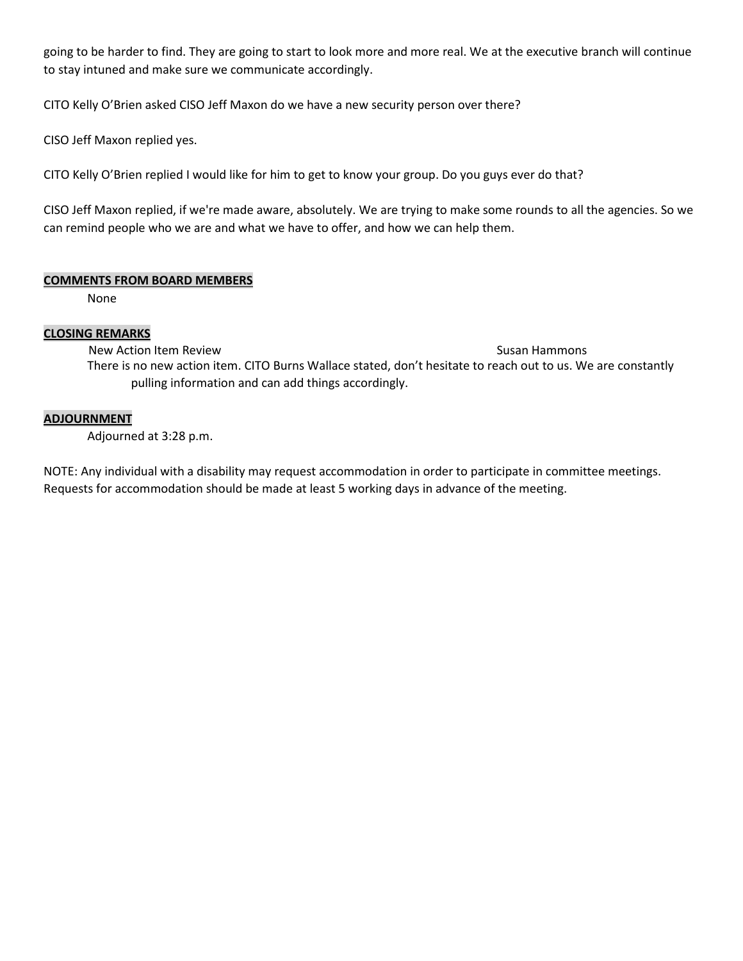going to be harder to find. They are going to start to look more and more real. We at the executive branch will continue to stay intuned and make sure we communicate accordingly.

CITO Kelly O'Brien asked CISO Jeff Maxon do we have a new security person over there?

CISO Jeff Maxon replied yes.

CITO Kelly O'Brien replied I would like for him to get to know your group. Do you guys ever do that?

CISO Jeff Maxon replied, if we're made aware, absolutely. We are trying to make some rounds to all the agencies. So we can remind people who we are and what we have to offer, and how we can help them.

### **COMMENTS FROM BOARD MEMBERS**

None

### **CLOSING REMARKS**

New Action Item Review Susan Hammons and The Control of the Susan Hammons Susan Hammons Susan Hammons Susan Hammons There is no new action item. CITO Burns Wallace stated, don't hesitate to reach out to us. We are constantly pulling information and can add things accordingly.

#### **ADJOURNMENT**

Adjourned at 3:28 p.m.

NOTE: Any individual with a disability may request accommodation in order to participate in committee meetings. Requests for accommodation should be made at least 5 working days in advance of the meeting.